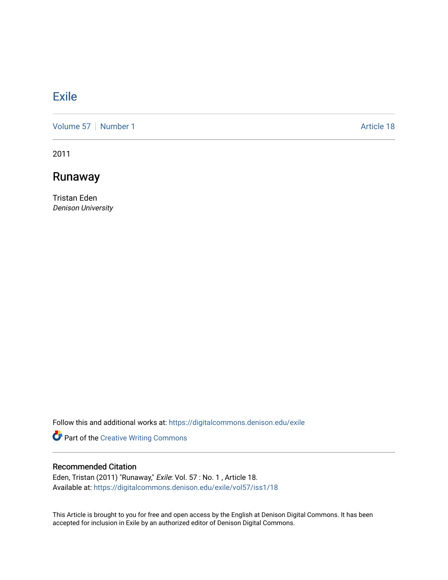# [Exile](https://digitalcommons.denison.edu/exile)

[Volume 57](https://digitalcommons.denison.edu/exile/vol57) | [Number 1](https://digitalcommons.denison.edu/exile/vol57/iss1) Article 18

2011

## Runaway

Tristan Eden Denison University

Follow this and additional works at: [https://digitalcommons.denison.edu/exile](https://digitalcommons.denison.edu/exile?utm_source=digitalcommons.denison.edu%2Fexile%2Fvol57%2Fiss1%2F18&utm_medium=PDF&utm_campaign=PDFCoverPages) 

Part of the [Creative Writing Commons](http://network.bepress.com/hgg/discipline/574?utm_source=digitalcommons.denison.edu%2Fexile%2Fvol57%2Fiss1%2F18&utm_medium=PDF&utm_campaign=PDFCoverPages) 

#### Recommended Citation

Eden, Tristan (2011) "Runaway," Exile: Vol. 57 : No. 1, Article 18. Available at: [https://digitalcommons.denison.edu/exile/vol57/iss1/18](https://digitalcommons.denison.edu/exile/vol57/iss1/18?utm_source=digitalcommons.denison.edu%2Fexile%2Fvol57%2Fiss1%2F18&utm_medium=PDF&utm_campaign=PDFCoverPages)

This Article is brought to you for free and open access by the English at Denison Digital Commons. It has been accepted for inclusion in Exile by an authorized editor of Denison Digital Commons.